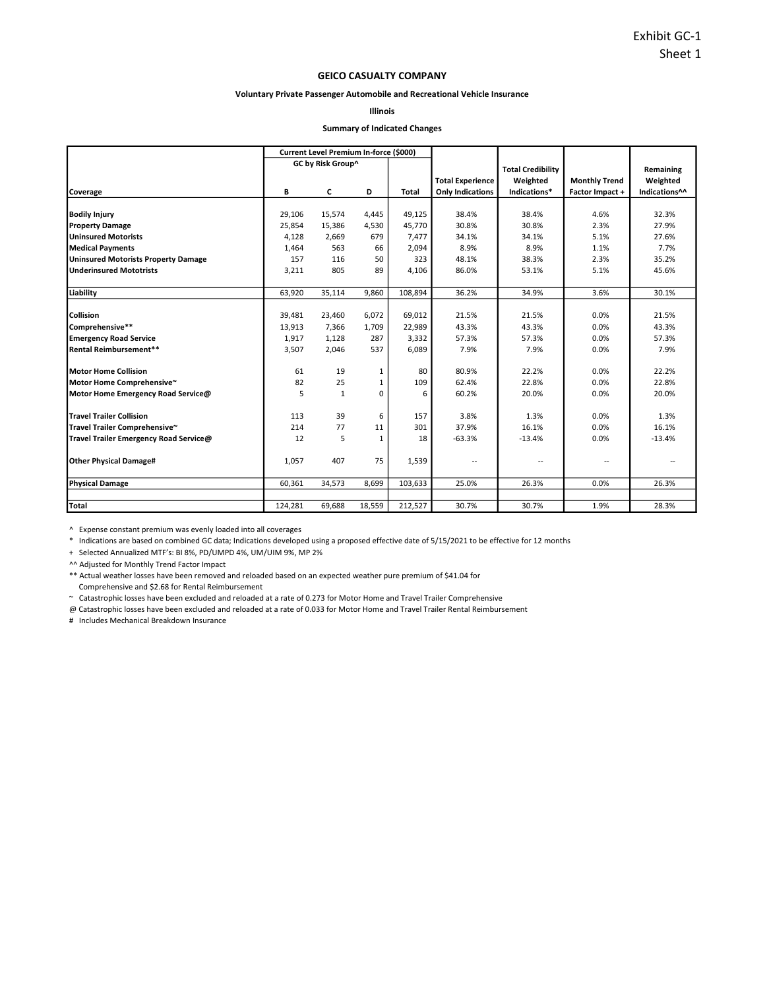### GEICO CASUALTY COMPANY

#### Voluntary Private Passenger Automobile and Recreational Vehicle Insurance

Illinois

#### Summary of Indicated Changes

|                                            |         | Current Level Premium In-force (\$000) |              |              |                         |                          |                      |               |
|--------------------------------------------|---------|----------------------------------------|--------------|--------------|-------------------------|--------------------------|----------------------|---------------|
|                                            |         | GC by Risk Group^                      |              |              |                         | <b>Total Credibility</b> |                      | Remaining     |
|                                            |         |                                        |              |              | <b>Total Experience</b> | Weighted                 | <b>Monthly Trend</b> | Weighted      |
| Coverage                                   | В       | c                                      | D            | <b>Total</b> | <b>Only Indications</b> | Indications*             | Factor Impact +      | Indications^^ |
|                                            |         |                                        |              |              |                         |                          |                      |               |
| <b>Bodily Injury</b>                       | 29,106  | 15,574                                 | 4,445        | 49,125       | 38.4%                   | 38.4%                    | 4.6%                 | 32.3%         |
| <b>Property Damage</b>                     | 25.854  | 15.386                                 | 4.530        | 45.770       | 30.8%                   | 30.8%                    | 2.3%                 | 27.9%         |
| Uninsured Motorists                        | 4.128   | 2,669                                  | 679          | 7.477        | 34.1%                   | 34.1%                    | 5.1%                 | 27.6%         |
| <b>Medical Payments</b>                    | 1,464   | 563                                    | 66           | 2,094        | 8.9%                    | 8.9%                     | 1.1%                 | 7.7%          |
| <b>Uninsured Motorists Property Damage</b> | 157     | 116                                    | 50           | 323          | 48.1%                   | 38.3%                    | 2.3%                 | 35.2%         |
| Underinsured Mototrists                    | 3,211   | 805                                    | 89           | 4,106        | 86.0%                   | 53.1%                    | 5.1%                 | 45.6%         |
|                                            |         |                                        |              |              |                         |                          |                      |               |
| Liability                                  | 63,920  | 35,114                                 | 9,860        | 108,894      | 36.2%                   | 34.9%                    | 3.6%                 | 30.1%         |
|                                            |         |                                        |              |              |                         |                          |                      |               |
| Collision                                  | 39,481  | 23,460                                 | 6,072        | 69,012       | 21.5%                   | 21.5%                    | 0.0%                 | 21.5%         |
| Comprehensive**                            | 13,913  | 7,366                                  | 1,709        | 22,989       | 43.3%                   | 43.3%                    | 0.0%                 | 43.3%         |
| <b>Emergency Road Service</b>              | 1,917   | 1,128                                  | 287          | 3,332        | 57.3%                   | 57.3%                    | 0.0%                 | 57.3%         |
| Rental Reimbursement**                     | 3,507   | 2,046                                  | 537          | 6,089        | 7.9%                    | 7.9%                     | 0.0%                 | 7.9%          |
| Motor Home Collision                       | 61      | 19                                     | 1            | 80           | 80.9%                   | 22.2%                    | 0.0%                 | 22.2%         |
| Motor Home Comprehensive~                  | 82      | 25                                     | 1            | 109          | 62.4%                   | 22.8%                    | 0.0%                 | 22.8%         |
| Motor Home Emergency Road Service@         | 5       | $\mathbf{1}$                           | 0            | 6            | 60.2%                   | 20.0%                    | 0.0%                 | 20.0%         |
| <b>Travel Trailer Collision</b>            | 113     | 39                                     | 6            | 157          | 3.8%                    | 1.3%                     | 0.0%                 | 1.3%          |
| Travel Trailer Comprehensive~              | 214     | 77                                     | 11           | 301          | 37.9%                   | 16.1%                    | 0.0%                 | 16.1%         |
| Travel Trailer Emergency Road Service@     | 12      | 5                                      | $\mathbf{1}$ | 18           | $-63.3%$                | $-13.4%$                 | 0.0%                 | $-13.4%$      |
|                                            |         |                                        |              |              |                         |                          |                      |               |
| <b>Other Physical Damage#</b>              | 1,057   | 407                                    | 75           | 1,539        | $-$                     | $\overline{\phantom{a}}$ | --                   |               |
|                                            |         |                                        |              |              |                         |                          |                      |               |
| <b>Physical Damage</b>                     | 60,361  | 34,573                                 | 8,699        | 103,633      | 25.0%                   | 26.3%                    | 0.0%                 | 26.3%         |
|                                            |         |                                        |              |              |                         |                          |                      |               |
| <b>Total</b>                               | 124,281 | 69,688                                 | 18,559       | 212,527      | 30.7%                   | 30.7%                    | 1.9%                 | 28.3%         |

^ Expense constant premium was evenly loaded into all coverages

\* Indications are based on combined GC data; Indications developed using a proposed effective date of 5/15/2021 to be effective for 12 months

+ Selected Annualized MTF's: BI 8%, PD/UMPD 4%, UM/UIM 9%, MP 2%

^^ Adjusted for Monthly Trend Factor Impact

\*\* Actual weather losses have been removed and reloaded based on an expected weather pure premium of \$41.04 for

Comprehensive and \$2.68 for Rental Reimbursement

~ Catastrophic losses have been excluded and reloaded at a rate of 0.273 for Motor Home and Travel Trailer Comprehensive

@ Catastrophic losses have been excluded and reloaded at a rate of 0.033 for Motor Home and Travel Trailer Rental Reimbursement

# Includes Mechanical Breakdown Insurance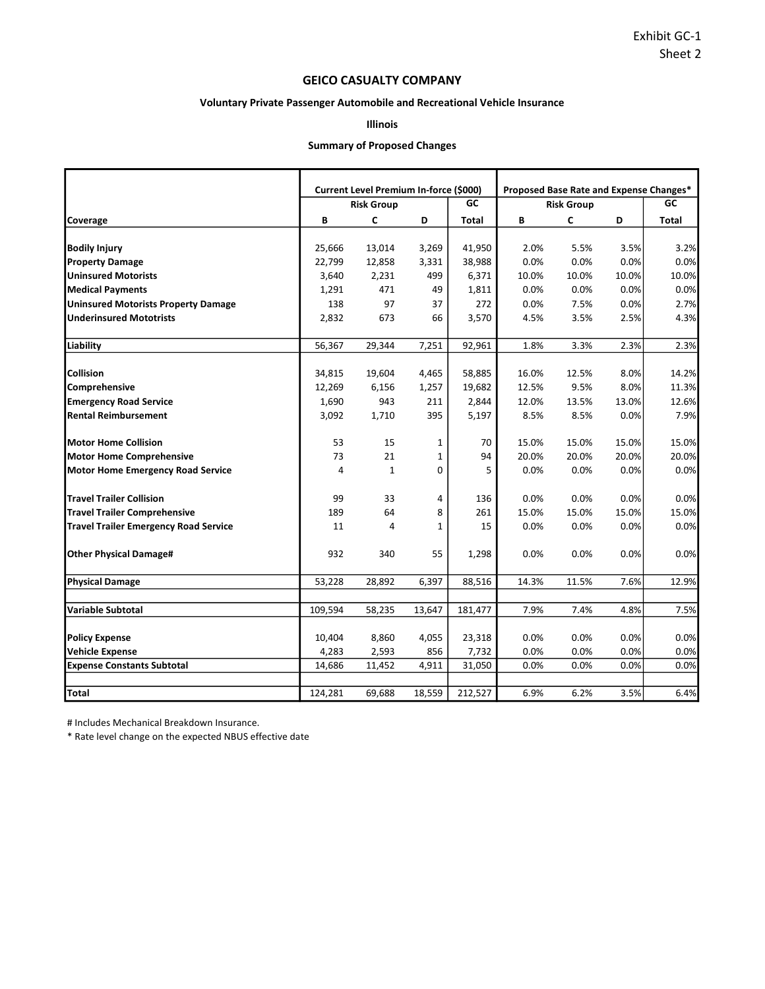## GEICO CASUALTY COMPANY

## Voluntary Private Passenger Automobile and Recreational Vehicle Insurance

# Illinois

## Summary of Proposed Changes

|                                              |         |                                        |              |         | Proposed Base Rate and Expense Changes* |                   |       |       |  |  |  |  |
|----------------------------------------------|---------|----------------------------------------|--------------|---------|-----------------------------------------|-------------------|-------|-------|--|--|--|--|
|                                              |         | Current Level Premium In-force (\$000) |              |         |                                         |                   |       |       |  |  |  |  |
|                                              |         | <b>Risk Group</b>                      |              | GC      |                                         | <b>Risk Group</b> |       | GC    |  |  |  |  |
| Coverage                                     | В       | C                                      | D            | Total   | В                                       | C                 | D     | Total |  |  |  |  |
| <b>Bodily Injury</b>                         | 25,666  | 13,014                                 | 3,269        | 41,950  | 2.0%                                    | 5.5%              | 3.5%  | 3.2%  |  |  |  |  |
| <b>Property Damage</b>                       | 22,799  | 12,858                                 | 3,331        | 38,988  | 0.0%                                    | 0.0%              | 0.0%  | 0.0%  |  |  |  |  |
| <b>Uninsured Motorists</b>                   | 3,640   | 2,231                                  | 499          | 6,371   | 10.0%                                   | 10.0%             | 10.0% | 10.0% |  |  |  |  |
| <b>Medical Payments</b>                      | 1,291   | 471                                    | 49           | 1,811   | 0.0%                                    | 0.0%              | 0.0%  | 0.0%  |  |  |  |  |
| <b>Uninsured Motorists Property Damage</b>   | 138     | 97                                     | 37           | 272     | 0.0%                                    | 7.5%              | 0.0%  | 2.7%  |  |  |  |  |
| <b>Underinsured Mototrists</b>               | 2,832   | 673                                    | 66           | 3,570   | 4.5%                                    | 3.5%              | 2.5%  | 4.3%  |  |  |  |  |
|                                              |         |                                        |              |         |                                         |                   |       |       |  |  |  |  |
| Liability                                    | 56,367  | 29,344                                 | 7,251        | 92,961  | 1.8%                                    | 3.3%              | 2.3%  | 2.3%  |  |  |  |  |
| Collision                                    | 34,815  | 19,604                                 | 4,465        | 58,885  | 16.0%                                   | 12.5%             | 8.0%  | 14.2% |  |  |  |  |
| Comprehensive                                | 12,269  | 6,156                                  | 1,257        | 19,682  | 12.5%                                   | 9.5%              | 8.0%  | 11.3% |  |  |  |  |
| <b>Emergency Road Service</b>                | 1,690   | 943                                    | 211          | 2,844   | 12.0%                                   | 13.5%             | 13.0% | 12.6% |  |  |  |  |
| <b>Rental Reimbursement</b>                  | 3,092   | 1,710                                  | 395          | 5,197   | 8.5%                                    | 8.5%              | 0.0%  | 7.9%  |  |  |  |  |
|                                              |         |                                        |              |         |                                         |                   |       |       |  |  |  |  |
| <b>Motor Home Collision</b>                  | 53      | 15                                     | 1            | 70      | 15.0%                                   | 15.0%             | 15.0% | 15.0% |  |  |  |  |
| <b>Motor Home Comprehensive</b>              | 73      | 21                                     | $\mathbf{1}$ | 94      | 20.0%                                   | 20.0%             | 20.0% | 20.0% |  |  |  |  |
| <b>Motor Home Emergency Road Service</b>     | 4       | $\mathbf{1}$                           | 0            | 5       | 0.0%                                    | 0.0%              | 0.0%  | 0.0%  |  |  |  |  |
| <b>Travel Trailer Collision</b>              | 99      | 33                                     | 4            | 136     | 0.0%                                    | 0.0%              | 0.0%  | 0.0%  |  |  |  |  |
| <b>Travel Trailer Comprehensive</b>          | 189     | 64                                     | 8            | 261     | 15.0%                                   | 15.0%             | 15.0% | 15.0% |  |  |  |  |
| <b>Travel Trailer Emergency Road Service</b> | 11      | 4                                      | 1            | 15      | 0.0%                                    | 0.0%              | 0.0%  | 0.0%  |  |  |  |  |
| <b>Other Physical Damage#</b>                | 932     | 340                                    | 55           | 1,298   | 0.0%                                    | 0.0%              | 0.0%  | 0.0%  |  |  |  |  |
| <b>Physical Damage</b>                       | 53,228  | 28,892                                 | 6,397        | 88,516  | 14.3%                                   | 11.5%             | 7.6%  | 12.9% |  |  |  |  |
|                                              |         |                                        |              |         |                                         |                   |       |       |  |  |  |  |
| <b>Variable Subtotal</b>                     | 109,594 | 58,235                                 | 13,647       | 181,477 | 7.9%                                    | 7.4%              | 4.8%  | 7.5%  |  |  |  |  |
| <b>Policy Expense</b>                        | 10,404  | 8,860                                  | 4,055        | 23,318  | 0.0%                                    | 0.0%              | 0.0%  | 0.0%  |  |  |  |  |
| <b>Vehicle Expense</b>                       | 4,283   | 2,593                                  | 856          | 7,732   | 0.0%                                    | $0.0\%$           | 0.0%  | 0.0%  |  |  |  |  |
| <b>Expense Constants Subtotal</b>            | 14,686  | 11,452                                 | 4,911        | 31,050  | 0.0%                                    | 0.0%              | 0.0%  | 0.0%  |  |  |  |  |
|                                              |         |                                        |              |         |                                         |                   |       |       |  |  |  |  |
| <b>Total</b>                                 | 124,281 | 69,688                                 | 18,559       | 212,527 | 6.9%                                    | 6.2%              | 3.5%  | 6.4%  |  |  |  |  |

# Includes Mechanical Breakdown Insurance.

\* Rate level change on the expected NBUS effective date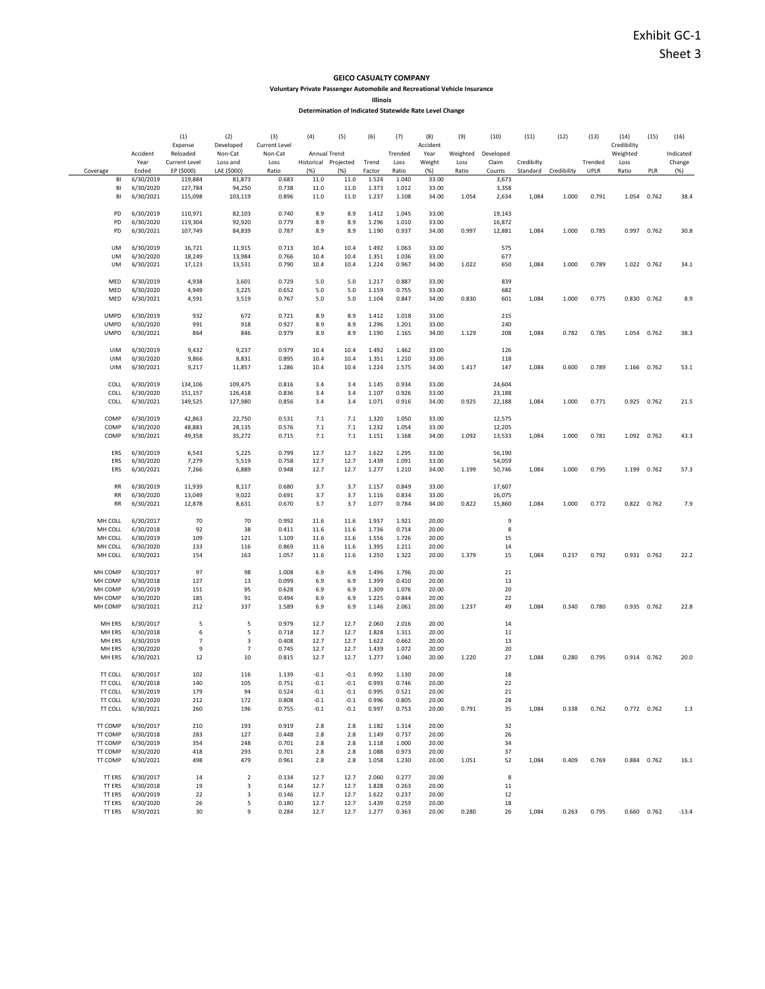#### GEICO CASUALTY COMPANY

Voluntary Private Passenger Automobile and Recreational Vehicle Insurance

Illinois

| Determination of Indicated Statewide Rate Level Change |  |  |
|--------------------------------------------------------|--|--|
|                                                        |  |  |

|                    |                        | (1)                       | (2)                 | (3)                  | (4)                                  | (5)              | (6)            | (7)             | (8)            | (9)      | (10)               | (11)       | (12)                 | (13)        | (14)             | (15)        | (16)                |
|--------------------|------------------------|---------------------------|---------------------|----------------------|--------------------------------------|------------------|----------------|-----------------|----------------|----------|--------------------|------------|----------------------|-------------|------------------|-------------|---------------------|
|                    |                        | Expense                   | Developed           | <b>Current Level</b> |                                      |                  |                |                 | Accident       | Weighted |                    |            |                      |             | Credibility      |             |                     |
|                    | Accident<br>Year       | Reloaded<br>Current Level | Non-Cat<br>Loss and | Non-Cat<br>Loss      | Annual Trend<br>Historical Projected |                  | Trend          | Trended<br>Loss | Year<br>Weight | Loss     | Developed<br>Claim | Credibilty |                      | Trended     | Weighted<br>Loss |             | Indicated<br>Change |
| Coverage           | Ended                  | EP (\$000)                | LAE (\$000)         | Ratio                | (%)                                  | (% )             | Factor         | Ratio           | $(\%)$         | Ratio    | Counts             |            | Standard Credibility | <b>UPLR</b> | Ratio            | PLR         | (%)                 |
| BI                 | 6/30/2019              | 119,884                   | 81,873              | 0.683                | 11.0                                 | 11.0             | 1.524          | 1.040           | 33.00          |          | 3,673              |            |                      |             |                  |             |                     |
| BI                 | 6/30/2020              | 127,784                   | 94,250              | 0.738                | 11.0                                 | 11.0             | 1.373          | 1.012           | 33.00          |          | 3,358              |            |                      |             |                  |             |                     |
| BI                 | 6/30/2021              | 115,098                   | 103,119             | 0.896                | 11.0                                 | 11.0             | 1.237          | 1.108           | 34.00          | 1.054    | 2,634              | 1,084      | 1.000                | 0.791       | 1.054            | 0.762       | 38.4                |
| PD                 | 6/30/2019              | 110,971                   | 82,103              | 0.740                | 8.9                                  | 8.9              | 1.412          | 1.045           | 33.00          |          | 19,143             |            |                      |             |                  |             |                     |
| PD                 | 6/30/2020              | 119,304                   | 92,920              | 0.779                | 8.9                                  | 8.9              | 1.296          | 1.010           | 33.00          |          | 16,872             |            |                      |             |                  |             |                     |
| PD                 | 6/30/2021              | 107,749                   | 84,839              | 0.787                | 8.9                                  | 8.9              | 1.190          | 0.937           | 34.00          | 0.997    | 12,881             | 1,084      | 1.000                | 0.785       | 0.997 0.762      |             | 30.8                |
|                    |                        |                           |                     |                      |                                      |                  |                |                 |                |          |                    |            |                      |             |                  |             |                     |
| <b>UM</b>          | 6/30/2019              | 16,721                    | 11,915              | 0.713                | 10.4                                 | 10.4             | 1.492          | 1.063           | 33.00          |          | 575                |            |                      |             |                  |             |                     |
| UM                 | 6/30/2020              | 18,249                    | 13,984              | 0.766                | 10.4                                 | 10.4             | 1.351          | 1.036           | 33.00          |          | 677                |            |                      |             |                  |             |                     |
| UM                 | 6/30/2021              | 17,123                    | 13,531              | 0.790                | 10.4                                 | 10.4             | 1.224          | 0.967           | 34.00          | 1.022    | 650                | 1,084      | 1.000                | 0.789       |                  | 1.022 0.762 | 34.1                |
| MED                | 6/30/2019              | 4,938                     | 3,601               | 0.729                | 5.0                                  | 5.0              | 1.217          | 0.887           | 33.00          |          | 839                |            |                      |             |                  |             |                     |
| MED                | 6/30/2020              | 4,949                     | 3,225               | 0.652                | 5.0                                  | 5.0              | 1.159          | 0.755           | 33.00          |          | 682                |            |                      |             |                  |             |                     |
| MED                | 6/30/2021              | 4,591                     | 3,519               | 0.767                | 5.0                                  | 5.0              | 1.104          | 0.847           | 34.00          | 0.830    | 601                | 1,084      | 1.000                | 0.775       |                  | 0.830 0.762 | 8.9                 |
|                    |                        |                           |                     |                      |                                      |                  |                |                 |                |          |                    |            |                      |             |                  |             |                     |
| <b>UMPD</b>        | 6/30/2019              | 932                       | 672                 | 0.721                | 8.9                                  | 8.9              | 1.412          | 1.018           | 33.00          |          | 215                |            |                      |             |                  |             |                     |
| <b>UMPD</b>        | 6/30/2020              | 991                       | 918                 | 0.927                | 8.9                                  | 8.9              | 1.296          | 1.201           | 33.00          |          | 240                |            |                      |             |                  |             |                     |
| <b>UMPD</b>        | 6/30/2021              | 864                       | 846                 | 0.979                | 8.9                                  | 8.9              | 1.190          | 1.165           | 34.00          | 1.129    | 208                | 1,084      | 0.782                | 0.785       |                  | 1.054 0.762 | 38.3                |
| UIM                | 6/30/2019              | 9,432                     | 9,237               | 0.979                | 10.4                                 | 10.4             | 1.492          | 1.462           | 33.00          |          | 126                |            |                      |             |                  |             |                     |
| <b>UIM</b>         | 6/30/2020              | 9,866                     | 8,831               | 0.895                | 10.4                                 | 10.4             | 1.351          | 1.210           | 33.00          |          | 118                |            |                      |             |                  |             |                     |
| UIM                | 6/30/2021              | 9,217                     | 11,857              | 1.286                | 10.4                                 | 10.4             | 1.224          | 1.575           | 34.00          | 1.417    | 147                | 1,084      | 0.600                | 0.789       | 1.166            | 0.762       | 53.1                |
|                    |                        |                           |                     |                      |                                      |                  |                |                 |                |          |                    |            |                      |             |                  |             |                     |
| COLL               | 6/30/2019              | 134,106                   | 109,475             | 0.816                | 3.4                                  | 3.4              | 1.145          | 0.934           | 33.00          |          | 24,604             |            |                      |             |                  |             |                     |
| COLL               | 6/30/2020              | 151,157                   | 126,418             | 0.836                | 3.4                                  | 3.4              | 1.107          | 0.926           | 33.00          |          | 23,188             |            |                      |             |                  |             |                     |
| COLL               | 6/30/2021              | 149,525                   | 127,980             | 0.856                | 3.4                                  | 3.4              | 1.071          | 0.916           | 34.00          | 0.925    | 22,188             | 1,084      | 1.000                | 0.771       | 0.925            | 0.762       | 21.5                |
| COMP               | 6/30/2019              | 42,863                    | 22,750              | 0.531                | 7.1                                  | 7.1              | 1.320          | 1.050           | 33.00          |          | 12,575             |            |                      |             |                  |             |                     |
| COMP               | 6/30/2020              | 48,883                    | 28,135              | 0.576                | 7.1                                  | 7.1              | 1.232          | 1.054           | 33.00          |          | 12,205             |            |                      |             |                  |             |                     |
| COMP               | 6/30/2021              | 49,358                    | 35,272              | 0.715                | 7.1                                  | 7.1              | 1.151          | 1.168           | 34.00          | 1.092    | 13,533             | 1,084      | 1.000                | 0.781       |                  | 1.092 0.762 | 43.3                |
|                    |                        |                           |                     |                      |                                      |                  |                |                 |                |          |                    |            |                      |             |                  |             |                     |
| ERS                | 6/30/2019              | 6,543                     | 5,225               | 0.799                | 12.7                                 | 12.7             | 1.622          | 1.295           | 33.00          |          | 56,190             |            |                      |             |                  |             |                     |
| ERS                | 6/30/2020              | 7,279                     | 5,519               | 0.758                | 12.7                                 | 12.7             | 1.439          | 1.091           | 33.00          |          | 54,059             |            |                      |             |                  |             |                     |
| ERS                | 6/30/2021              | 7,266                     | 6,889               | 0.948                | 12.7                                 | 12.7             | 1.277          | 1.210           | 34.00          | 1.199    | 50,746             | 1,084      | 1.000                | 0.795       | 1.199 0.762      |             | 57.3                |
| RR                 | 6/30/2019              | 11,939                    | 8,117               | 0.680                | 3.7                                  | 3.7              | 1.157          | 0.849           | 33.00          |          | 17,607             |            |                      |             |                  |             |                     |
| <b>RR</b>          | 6/30/2020              | 13,049                    | 9,022               | 0.691                | 3.7                                  | 3.7              | 1.116          | 0.834           | 33.00          |          | 16,075             |            |                      |             |                  |             |                     |
| <b>RR</b>          | 6/30/2021              | 12,878                    | 8,631               | 0.670                | 3.7                                  | 3.7              | 1.077          | 0.784           | 34.00          | 0.822    | 15,860             | 1,084      | 1.000                | 0.772       | 0.822            | 0.762       | 7.9                 |
|                    |                        |                           |                     |                      |                                      |                  |                |                 |                |          |                    |            |                      |             |                  |             |                     |
| MH COLL            | 6/30/2017              | 70                        | 70                  | 0.992                | 11.6                                 | 11.6             | 1.937          | 1.921           | 20.00          |          | 9                  |            |                      |             |                  |             |                     |
| MH COLL            | 6/30/2018              | 92                        | 38                  | 0.411                | 11.6                                 | 11.6             | 1.736          | 0.714           | 20.00          |          | 8                  |            |                      |             |                  |             |                     |
| MH COLL            | 6/30/2019              | 109                       | 121                 | 1.109                | 11.6                                 | 11.6             | 1.556          | 1.726           | 20.00          |          | 15                 |            |                      |             |                  |             |                     |
| MH COLL<br>MH COLL | 6/30/2020<br>6/30/2021 | 133<br>154                | 116<br>163          | 0.869<br>1.057       | 11.6<br>11.6                         | 11.6<br>11.6     | 1.395<br>1.250 | 1.211<br>1.322  | 20.00<br>20.00 | 1.379    | 14<br>15           | 1,084      | 0.237                | 0.792       |                  | 0.931 0.762 | 22.2                |
|                    |                        |                           |                     |                      |                                      |                  |                |                 |                |          |                    |            |                      |             |                  |             |                     |
| MH COMP            | 6/30/2017              | 97                        | 98                  | 1.008                | 6.9                                  | 6.9              | 1.496          | 1.796           | 20.00          |          | 21                 |            |                      |             |                  |             |                     |
| MH COMP            | 6/30/2018              | 127                       | 13                  | 0.099                | 6.9                                  | 6.9              | 1.399          | 0.410           | 20.00          |          | 13                 |            |                      |             |                  |             |                     |
| MH COMP            | 6/30/2019              | 151                       | 95                  | 0.628                | 6.9                                  | 6.9              | 1.309          | 1.076           | 20.00          |          | 20                 |            |                      |             |                  |             |                     |
| MH COMP            | 6/30/2020              | 185                       | 91                  | 0.494                | 6.9                                  | 6.9              | 1.225          | 0.844           | 20.00          |          | 22                 |            |                      |             |                  |             |                     |
| MH COMP            | 6/30/2021              | 212                       | 337                 | 1.589                | 6.9                                  | 6.9              | 1.146          | 2.061           | 20.00          | 1.237    | 49                 | 1,084      | 0.340                | 0.780       | 0.935 0.762      |             | 22.8                |
| MH ERS             | 6/30/2017              | 5                         | 5                   | 0.979                | 12.7                                 | 12.7             | 2.060          | 2.016           | 20.00          |          | 14                 |            |                      |             |                  |             |                     |
| MH ERS             | 6/30/2018              | 6                         | 5                   | 0.718                | 12.7                                 | 12.7             | 1.828          | 1.311           | 20.00          |          | 11                 |            |                      |             |                  |             |                     |
| MH ERS             | 6/30/2019              | $\overline{7}$            | 3                   | 0.408                | 12.7                                 | 12.7             | 1.622          | 0.662           | 20.00          |          | 13                 |            |                      |             |                  |             |                     |
| MH ERS             | 6/30/2020              | 9                         | $\overline{7}$      | 0.745                | 12.7                                 | 12.7             | 1.439          | 1.072           | 20.00          |          | 20                 |            |                      |             |                  |             |                     |
| MH ERS             | 6/30/2021              | 12                        | 10                  | 0.815                | 12.7                                 | 12.7             | 1.277          | 1.040           | 20.00          | 1.220    | 27                 | 1,084      | 0.280                | 0.795       | 0.914 0.762      |             | 20.0                |
|                    |                        |                           |                     |                      |                                      |                  |                |                 |                |          |                    |            |                      |             |                  |             |                     |
| TT COLL<br>TT COLL | 6/30/2017<br>6/30/2018 | 102<br>140                | 116<br>105          | 1.139<br>0.751       | $-0.1$<br>$-0.1$                     | $-0.1$<br>$-0.1$ | 0.992<br>0.993 | 1.130<br>0.746  | 20.00<br>20.00 |          | 18<br>22           |            |                      |             |                  |             |                     |
| TT COLL            | 6/30/2019              | 179                       | -94                 | 0.524                | -0.1                                 | -0.1             | 0.995          | 0.521           | 20.00          |          | 21                 |            |                      |             |                  |             |                     |
| TT COLL            | 6/30/2020              | 212                       | 172                 | 0.808                | $-0.1$                               | $-0.1$           | 0.996          | 0.805           | 20.00          |          | 28                 |            |                      |             |                  |             |                     |
| TT COLL            | 6/30/2021              | 260                       | 196                 | 0.755                | $-0.1$                               | $-0.1$           | 0.997          | 0.753           | 20.00          | 0.791    | 35                 | 1,084      | 0.338                | 0.762       |                  | 0.772 0.762 | 1.3                 |
|                    |                        |                           |                     |                      |                                      |                  |                |                 |                |          |                    |            |                      |             |                  |             |                     |
| TT COMP            | 6/30/2017              | 210                       | 193                 | 0.919                | 2.8                                  | 2.8              | 1.182          | 1.314           | 20.00          |          | 32                 |            |                      |             |                  |             |                     |
| TT COMP<br>TT COMP | 6/30/2018              | 283                       | 127                 | 0.448                | 2.8                                  | 2.8              | 1.149          | 0.737           | 20.00          |          | 26                 |            |                      |             |                  |             |                     |
| TT COMP            | 6/30/2019<br>6/30/2020 | 354<br>418                | 248<br>293          | 0.701<br>0.701       | 2.8<br>2.8                           | 2.8<br>2.8       | 1.118<br>1.088 | 1.000<br>0.973  | 20.00<br>20.00 |          | 34<br>37           |            |                      |             |                  |             |                     |
| TT COMP            | 6/30/2021              | 498                       | 479                 | 0.961                | 2.8                                  | 2.8              | 1.058          | 1.230           | 20.00          | 1.051    | 52                 | 1,084      | 0.409                | 0.769       |                  | 0.884 0.762 | 16.1                |
|                    |                        |                           |                     |                      |                                      |                  |                |                 |                |          |                    |            |                      |             |                  |             |                     |
| TT ERS             | 6/30/2017              | 14                        | $\overline{2}$      | 0.134                | 12.7                                 | 12.7             | 2.060          | 0.277           | 20.00          |          | 8                  |            |                      |             |                  |             |                     |
| TT ERS             | 6/30/2018              | 19                        | 3                   | 0.144                | 12.7                                 | 12.7             | 1.828          | 0.263           | 20.00          |          | 11                 |            |                      |             |                  |             |                     |
| TT ERS             | 6/30/2019              | 22                        | 3                   | 0.146                | 12.7                                 | 12.7             | 1.622          | 0.237           | 20.00          |          | 12                 |            |                      |             |                  |             |                     |
| TT ERS<br>TT ERS   | 6/30/2020<br>6/30/2021 | 26<br>30                  | 5<br>9              | 0.180<br>0.284       | 12.7<br>12.7                         | 12.7<br>12.7     | 1.439<br>1.277 | 0.259<br>0.363  | 20.00<br>20.00 | 0.280    | 18<br>26           | 1,084      | 0.263                | 0.795       | 0.660 0.762      |             | $-13.4$             |
|                    |                        |                           |                     |                      |                                      |                  |                |                 |                |          |                    |            |                      |             |                  |             |                     |